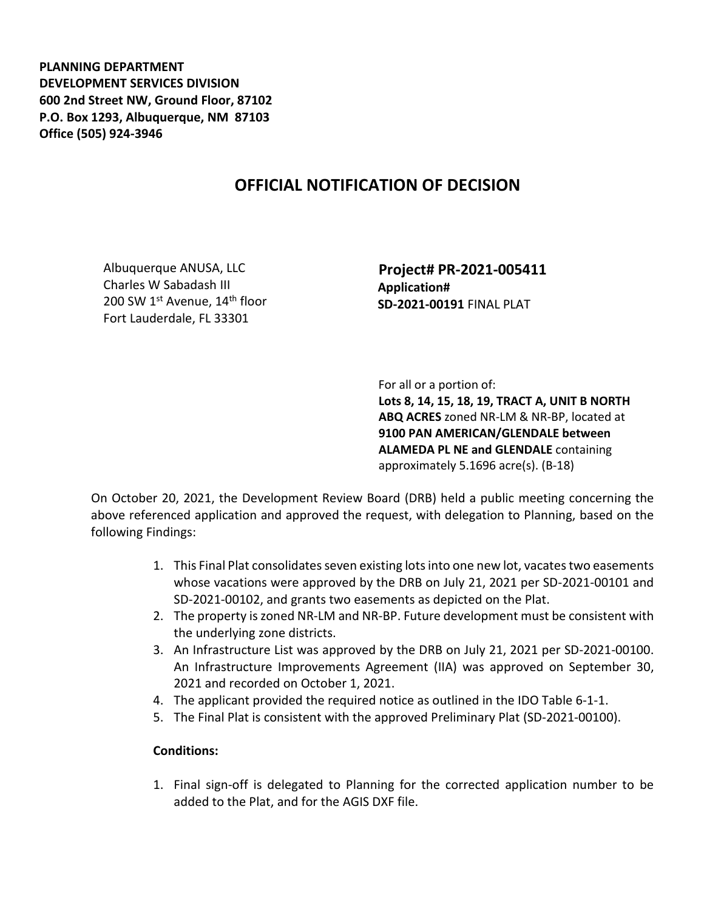**PLANNING DEPARTMENT DEVELOPMENT SERVICES DIVISION 600 2nd Street NW, Ground Floor, 87102 P.O. Box 1293, Albuquerque, NM 87103 Office (505) 924-3946** 

## **OFFICIAL NOTIFICATION OF DECISION**

Albuquerque ANUSA, LLC Charles W Sabadash III 200 SW 1<sup>st</sup> Avenue, 14<sup>th</sup> floor Fort Lauderdale, FL 33301

 **Project# PR-2021-005411 Application# SD-2021-00191** FINAL PLAT

For all or a portion of:

**Lots 8, 14, 15, 18, 19, TRACT A, UNIT B NORTH ABQ ACRES** zoned NR-LM & NR-BP, located at **9100 PAN AMERICAN/GLENDALE between ALAMEDA PL NE and GLENDALE** containing approximately 5.1696 acre(s). (B-18)

On October 20, 2021, the Development Review Board (DRB) held a public meeting concerning the above referenced application and approved the request, with delegation to Planning, based on the following Findings:

- 1. This Final Plat consolidates seven existing lots into one new lot, vacates two easements whose vacations were approved by the DRB on July 21, 2021 per SD-2021-00101 and SD-2021-00102, and grants two easements as depicted on the Plat.
- 2. The property is zoned NR-LM and NR-BP. Future development must be consistent with the underlying zone districts.
- 3. An Infrastructure List was approved by the DRB on July 21, 2021 per SD-2021-00100. An Infrastructure Improvements Agreement (IIA) was approved on September 30, 2021 and recorded on October 1, 2021.
- 4. The applicant provided the required notice as outlined in the IDO Table 6-1-1.
- 5. The Final Plat is consistent with the approved Preliminary Plat (SD-2021-00100).

## **Conditions:**

1. Final sign-off is delegated to Planning for the corrected application number to be added to the Plat, and for the AGIS DXF file.